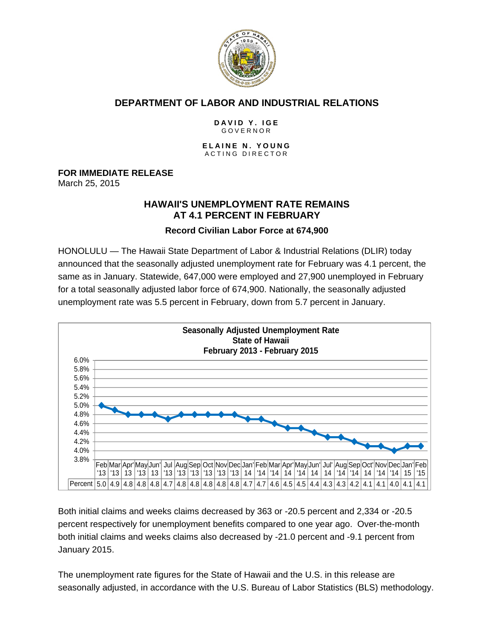

# **DEPARTMENT OF LABOR AND INDUSTRIAL RELATIONS**

#### **DAVID Y. IGE** GOVERNOR

#### **ELAINE N. YOUNG** ACTING DIRECTOR

**FOR IMMEDIATE RELEASE**

March 25, 2015

# **HAWAII'S UNEMPLOYMENT RATE REMAINS AT 4.1 PERCENT IN FEBRUARY**

## **Record Civilian Labor Force at 674,900**

HONOLULU — The Hawaii State Department of Labor & Industrial Relations (DLIR) today announced that the seasonally adjusted unemployment rate for February was 4.1 percent, the same as in January. Statewide, 647,000 were employed and 27,900 unemployed in February for a total seasonally adjusted labor force of 674,900. Nationally, the seasonally adjusted unemployment rate was 5.5 percent in February, down from 5.7 percent in January.



Both initial claims and weeks claims decreased by 363 or -20.5 percent and 2,334 or -20.5 percent respectively for unemployment benefits compared to one year ago. Over-the-month both initial claims and weeks claims also decreased by -21.0 percent and -9.1 percent from January 2015.

The unemployment rate figures for the State of Hawaii and the U.S. in this release are seasonally adjusted, in accordance with the U.S. Bureau of Labor Statistics (BLS) methodology.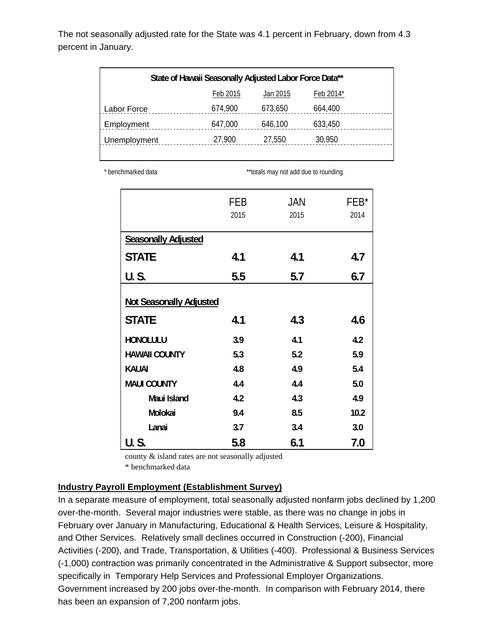The not seasonally adjusted rate for the State was 4.1 percent in February, down from 4.3 percent in January.

| State of Hawaii Seasonally Adjusted Labor Force Data** |          |          |           |  |  |
|--------------------------------------------------------|----------|----------|-----------|--|--|
|                                                        | Feb 2015 | Jan 2015 | Feb 2014* |  |  |
| Labor Force                                            | 674,900  | 673,650  | 664,400   |  |  |
| Employment                                             | 647,000  | 646,100  | 633,450   |  |  |
| Unemployment                                           | 27,900   | 27,550   | 30,950    |  |  |
|                                                        |          |          |           |  |  |

\* benchmarked data **\*\*\***totals may not add due to rounding

|                                | FEB  | JAN  | $FEB*$ |  |
|--------------------------------|------|------|--------|--|
|                                | 2015 | 2015 | 2014   |  |
| <b>Seasonally Adjusted</b>     |      |      |        |  |
| <b>STATE</b>                   | 4.1  | 4.1  | 4.7    |  |
| <b>U.S.</b>                    | 5.5  | 5.7  | 6.7    |  |
|                                |      |      |        |  |
| <b>Not Seasonally Adjusted</b> |      |      |        |  |
| <b>STATE</b>                   | 4.1  | 4.3  | 4.6    |  |
| <b>HONOLULU</b>                | 3.9  | 4.1  | 4.2    |  |
| <b>HAWAII COUNTY</b>           | 5.3  | 5.2  | 5.9    |  |
| <b>KAUAI</b>                   | 4.8  | 4.9  | 5.4    |  |
| <b>MAUI COUNTY</b>             | 4.4  | 4.4  | 5.0    |  |
| Maui Island                    | 4.2  | 4.3  | 4.9    |  |
| Molokai                        | 9.4  | 8.5  | 10.2   |  |
| Lanai                          | 3.7  | 3.4  | 3.0    |  |
| <b>U.S.</b>                    | 5.8  | 6.1  | 7.0    |  |

county & island rates are not seasonally adjusted

\* benchmarked data

### **Industry Payroll Employment (Establishment Survey)**

In a separate measure of employment, total seasonally adjusted nonfarm jobs declined by 1,200 over-the-month. Several major industries were stable, as there was no change in jobs in February over January in Manufacturing, Educational & Health Services, Leisure & Hospitality, and Other Services. Relatively small declines occurred in Construction (-200), Financial Activities (-200), and Trade, Transportation, & Utilities (-400). Professional & Business Services (-1,000) contraction was primarily concentrated in the Administrative & Support subsector, more specifically in Temporary Help Services and Professional Employer Organizations. Government increased by 200 jobs over-the-month. In comparison with February 2014, there has been an expansion of 7,200 nonfarm jobs.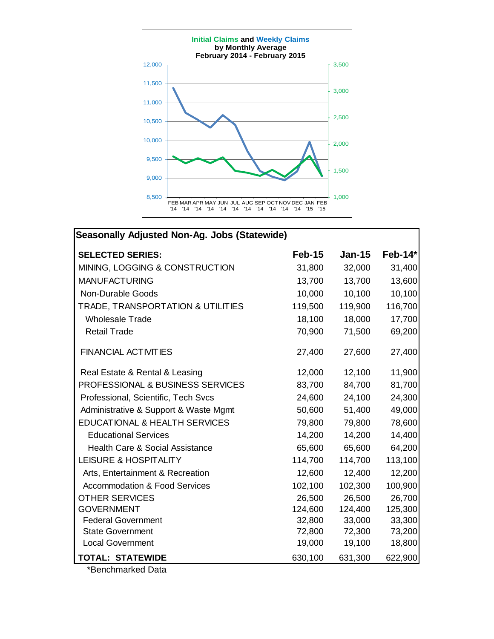

| <b>Seasonally Adjusted Non-Ag. Jobs (Statewide)</b> |          |          |           |  |  |  |
|-----------------------------------------------------|----------|----------|-----------|--|--|--|
| <b>SELECTED SERIES:</b>                             | $Feb-15$ | $Jan-15$ | $Feb-14*$ |  |  |  |
| MINING, LOGGING & CONSTRUCTION                      | 31,800   | 32,000   | 31,400    |  |  |  |
| <b>MANUFACTURING</b>                                | 13,700   | 13,700   | 13,600    |  |  |  |
| <b>Non-Durable Goods</b>                            | 10,000   | 10,100   | 10,100    |  |  |  |
| TRADE, TRANSPORTATION & UTILITIES                   | 119,500  | 119,900  | 116,700   |  |  |  |
| <b>Wholesale Trade</b>                              | 18,100   | 18,000   | 17,700    |  |  |  |
| <b>Retail Trade</b>                                 | 70,900   | 71,500   | 69,200    |  |  |  |
| <b>FINANCIAL ACTIVITIES</b>                         | 27,400   | 27,600   | 27,400    |  |  |  |
| Real Estate & Rental & Leasing                      | 12,000   | 12,100   | 11,900    |  |  |  |
| PROFESSIONAL & BUSINESS SERVICES                    | 83,700   | 84,700   | 81,700    |  |  |  |
| Professional, Scientific, Tech Svcs                 | 24,600   | 24,100   | 24,300    |  |  |  |
| Administrative & Support & Waste Mgmt               | 50,600   | 51,400   | 49,000    |  |  |  |
| EDUCATIONAL & HEALTH SERVICES                       | 79,800   | 79,800   | 78,600    |  |  |  |
| <b>Educational Services</b>                         | 14,200   | 14,200   | 14,400    |  |  |  |
| <b>Health Care &amp; Social Assistance</b>          | 65,600   | 65,600   | 64,200    |  |  |  |
| LEISURE & HOSPITALITY                               | 114,700  | 114,700  | 113,100   |  |  |  |
| Arts, Entertainment & Recreation                    | 12,600   | 12,400   | 12,200    |  |  |  |
| <b>Accommodation &amp; Food Services</b>            | 102,100  | 102,300  | 100,900   |  |  |  |
| <b>OTHER SERVICES</b>                               | 26,500   | 26,500   | 26,700    |  |  |  |
| <b>GOVERNMENT</b>                                   | 124,600  | 124,400  | 125,300   |  |  |  |
| <b>Federal Government</b>                           | 32,800   | 33,000   | 33,300    |  |  |  |
| <b>State Government</b>                             | 72,800   | 72,300   | 73,200    |  |  |  |
| <b>Local Government</b>                             | 19,000   | 19,100   | 18,800    |  |  |  |
| <b>TOTAL: STATEWIDE</b>                             | 630,100  | 631,300  | 622,900   |  |  |  |

\*Benchmarked Data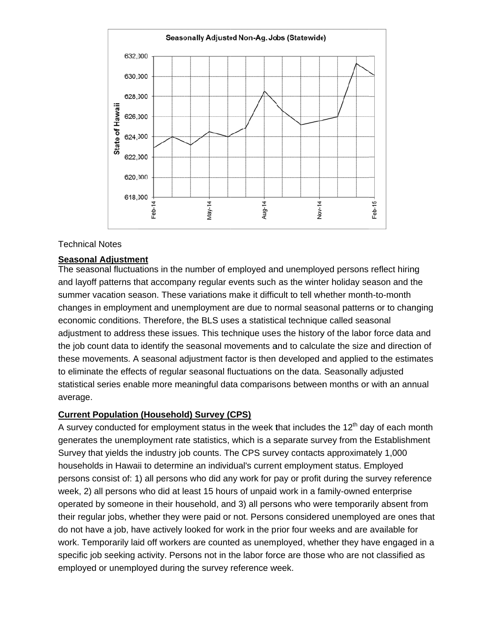

### **Technical Notes**

## **Seasonal Adjustment**

The seasonal fluctuations in the number of employed and unemployed persons reflect hiring and layoff patterns that accompany regular events such as the winter holiday season and the summer vacation season. These variations make it difficult to tell whether month-to-month changes in employment and unemployment are due to normal seasonal patterns or to changing economic conditions. Therefore, the BLS uses a statistical technique called seasonal adjustment to address these issues. This technique uses the history of the labor force data and the job count data to identify the seasonal movements and to calculate the size and direction of these movements. A seasonal adjustment factor is then developed and applied to the estimates to eliminate the effects of regular seasonal fluctuations on the data. Seasonally adjusted statistical series enable more meaningful data comparisons between months or with an annual average.

### **Current Population (Household) Survey (CPS)**

A survey conducted for employment status in the week that includes the 12<sup>th</sup> day of each month generates the unemployment rate statistics, which is a separate survey from the Establishment Survey that yields the industry job counts. The CPS survey contacts approximately 1,000 households in Hawaii to determine an individual's current employment status. Employed persons consist of: 1) all persons who did any work for pay or profit during the survey reference week, 2) all persons who did at least 15 hours of unpaid work in a family-owned enterprise operated by someone in their household, and 3) all persons who were temporarily absent from their regular jobs, whether they were paid or not. Persons considered unemployed are ones that do not have a job, have actively looked for work in the prior four weeks and are available for work. Temporarily laid off workers are counted as unemployed, whether they have engaged in a specific job seeking activity. Persons not in the labor force are those who are not classified as employed or unemployed during the survey reference week.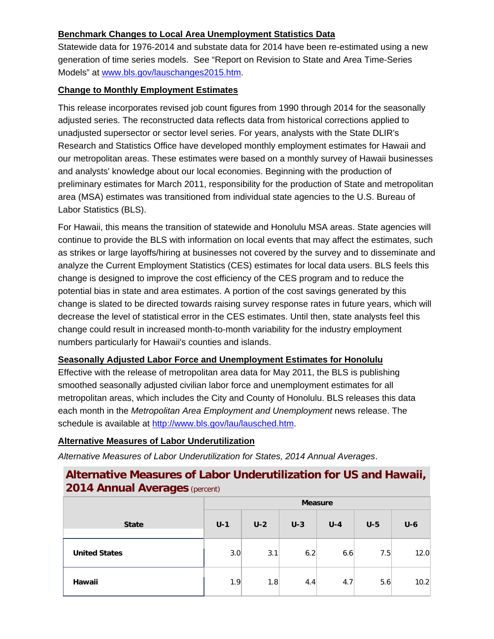# **Benchmark Changes to Local Area Unemployment Statistics Data**

Statewide data for 1976-2014 and substate data for 2014 have been re-estimated using a new generation of time series models. See "Report on Revision to State and Area Time-Series Models" at www.bls.gov/lauschanges2015.htm.

## **Change to Monthly Employment Estimates**

This release incorporates revised job count figures from 1990 through 2014 for the seasonally adjusted series. The reconstructed data reflects data from historical corrections applied to unadjusted supersector or sector level series. For years, analysts with the State DLIR's Research and Statistics Office have developed monthly employment estimates for Hawaii and our metropolitan areas. These estimates were based on a monthly survey of Hawaii businesses and analysts' knowledge about our local economies. Beginning with the production of preliminary estimates for March 2011, responsibility for the production of State and metropolitan area (MSA) estimates was transitioned from individual state agencies to the U.S. Bureau of Labor Statistics (BLS).

For Hawaii, this means the transition of statewide and Honolulu MSA areas. State agencies will continue to provide the BLS with information on local events that may affect the estimates, such as strikes or large layoffs/hiring at businesses not covered by the survey and to disseminate and analyze the Current Employment Statistics (CES) estimates for local data users. BLS feels this change is designed to improve the cost efficiency of the CES program and to reduce the potential bias in state and area estimates. A portion of the cost savings generated by this change is slated to be directed towards raising survey response rates in future years, which will decrease the level of statistical error in the CES estimates. Until then, state analysts feel this change could result in increased month-to-month variability for the industry employment numbers particularly for Hawaii's counties and islands.

# **Seasonally Adjusted Labor Force and Unemployment Estimates for Honolulu**

Effective with the release of metropolitan area data for May 2011, the BLS is publishing smoothed seasonally adjusted civilian labor force and unemployment estimates for all metropolitan areas, which includes the City and County of Honolulu. BLS releases this data each month in the *Metropolitan Area Employment and Unemployment* news release. The schedule is available at http://www.bls.gov/lau/lausched.htm.

# **Alternative Measures of Labor Underutilization**

*Alternative Measures of Labor Underutilization for States, 2014 Annual Averages*.

# **Alternative Measures of Labor Underutilization for US and Hawaii, 2014 Annual Averages** (percent)

|                      | <b>Measure</b> |       |       |       |       |       |
|----------------------|----------------|-------|-------|-------|-------|-------|
| <b>State</b>         | $U-1$          | $U-2$ | $U-3$ | $U-4$ | $U-5$ | $U-6$ |
| <b>United States</b> | 3.0            | 3.1   | 6.2   | 6.6   | 7.5   | 12.0  |
| Hawaii               | 1.9            | 1.8   | 4.4   | 4.7   | 5.6   | 10.2  |